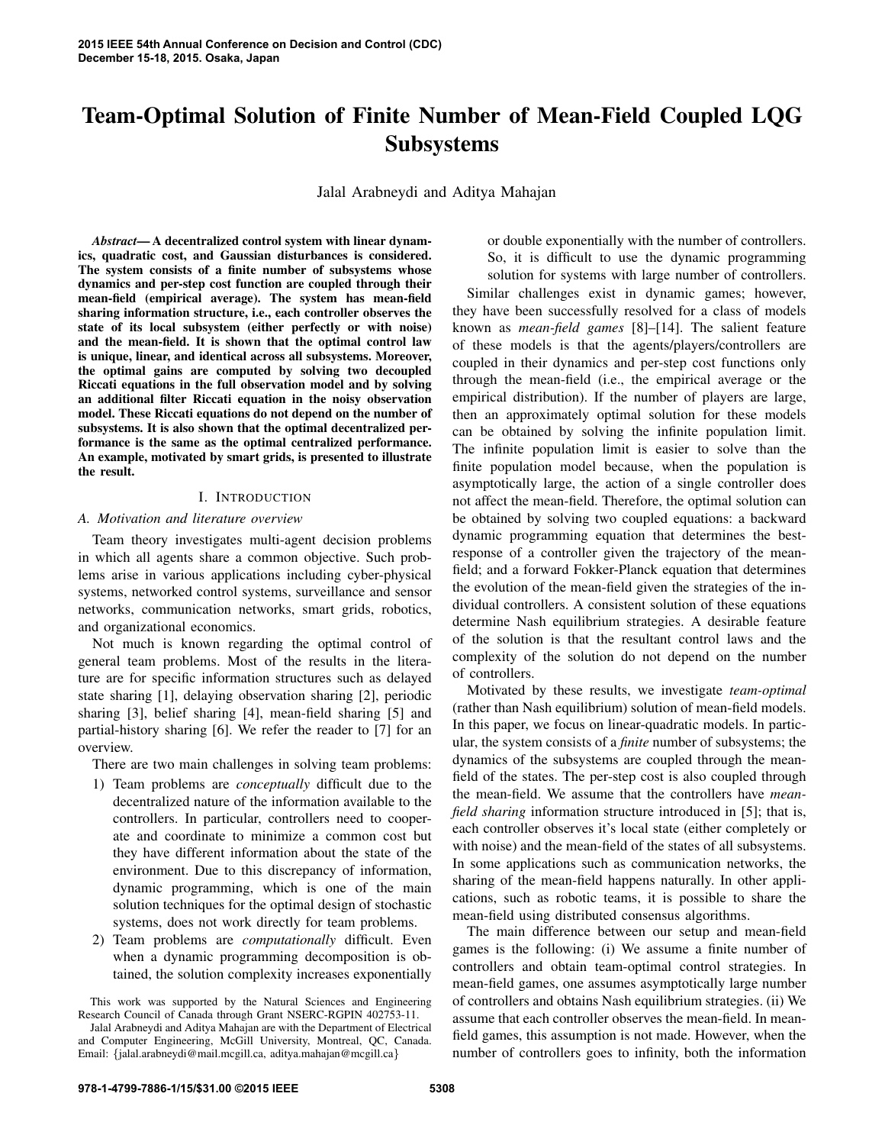# Team-Optimal Solution of Finite Number of Mean-Field Coupled LQG Subsystems

Jalal Arabneydi and Aditya Mahajan

*Abstract*— A decentralized control system with linear dynamics, quadratic cost, and Gaussian disturbances is considered. The system consists of a finite number of subsystems whose dynamics and per-step cost function are coupled through their mean-field (empirical average). The system has mean-field sharing information structure, i.e., each controller observes the state of its local subsystem (either perfectly or with noise) and the mean-field. It is shown that the optimal control law is unique, linear, and identical across all subsystems. Moreover, the optimal gains are computed by solving two decoupled Riccati equations in the full observation model and by solving an additional filter Riccati equation in the noisy observation model. These Riccati equations do not depend on the number of subsystems. It is also shown that the optimal decentralized performance is the same as the optimal centralized performance. An example, motivated by smart grids, is presented to illustrate the result.

#### I. INTRODUCTION

#### *A. Motivation and literature overview*

Team theory investigates multi-agent decision problems in which all agents share a common objective. Such problems arise in various applications including cyber-physical systems, networked control systems, surveillance and sensor networks, communication networks, smart grids, robotics, and organizational economics.

Not much is known regarding the optimal control of general team problems. Most of the results in the literature are for specific information structures such as delayed state sharing [1], delaying observation sharing [2], periodic sharing [3], belief sharing [4], mean-field sharing [5] and partial-history sharing [6]. We refer the reader to [7] for an overview.

There are two main challenges in solving team problems:

- 1) Team problems are *conceptually* difficult due to the decentralized nature of the information available to the controllers. In particular, controllers need to cooperate and coordinate to minimize a common cost but they have different information about the state of the environment. Due to this discrepancy of information, dynamic programming, which is one of the main solution techniques for the optimal design of stochastic systems, does not work directly for team problems.
- 2) Team problems are *computationally* difficult. Even when a dynamic programming decomposition is obtained, the solution complexity increases exponentially

This work was supported by the Natural Sciences and Engineering Research Council of Canada through Grant NSERC-RGPIN 402753-11.

So, it is difficult to use the dynamic programming solution for systems with large number of controllers. Similar challenges exist in dynamic games; however, they have been successfully resolved for a class of models known as *mean-field games* [8]–[14]. The salient feature of these models is that the agents/players/controllers are coupled in their dynamics and per-step cost functions only through the mean-field (i.e., the empirical average or the empirical distribution). If the number of players are large, then an approximately optimal solution for these models can be obtained by solving the infinite population limit. The infinite population limit is easier to solve than the finite population model because, when the population is asymptotically large, the action of a single controller does not affect the mean-field. Therefore, the optimal solution can be obtained by solving two coupled equations: a backward dynamic programming equation that determines the bestresponse of a controller given the trajectory of the meanfield; and a forward Fokker-Planck equation that determines the evolution of the mean-field given the strategies of the individual controllers. A consistent solution of these equations determine Nash equilibrium strategies. A desirable feature of the solution is that the resultant control laws and the complexity of the solution do not depend on the number of controllers.

or double exponentially with the number of controllers.

Motivated by these results, we investigate *team-optimal* (rather than Nash equilibrium) solution of mean-field models. In this paper, we focus on linear-quadratic models. In particular, the system consists of a *finite* number of subsystems; the dynamics of the subsystems are coupled through the meanfield of the states. The per-step cost is also coupled through the mean-field. We assume that the controllers have *meanfield sharing* information structure introduced in [5]; that is, each controller observes it's local state (either completely or with noise) and the mean-field of the states of all subsystems. In some applications such as communication networks, the sharing of the mean-field happens naturally. In other applications, such as robotic teams, it is possible to share the mean-field using distributed consensus algorithms.

The main difference between our setup and mean-field games is the following: (i) We assume a finite number of controllers and obtain team-optimal control strategies. In mean-field games, one assumes asymptotically large number of controllers and obtains Nash equilibrium strategies. (ii) We assume that each controller observes the mean-field. In meanfield games, this assumption is not made. However, when the number of controllers goes to infinity, both the information

Jalal Arabneydi and Aditya Mahajan are with the Department of Electrical and Computer Engineering, McGill University, Montreal, QC, Canada. Email: {jalal.arabneydi@mail.mcgill.ca, aditya.mahajan@mcgill.ca}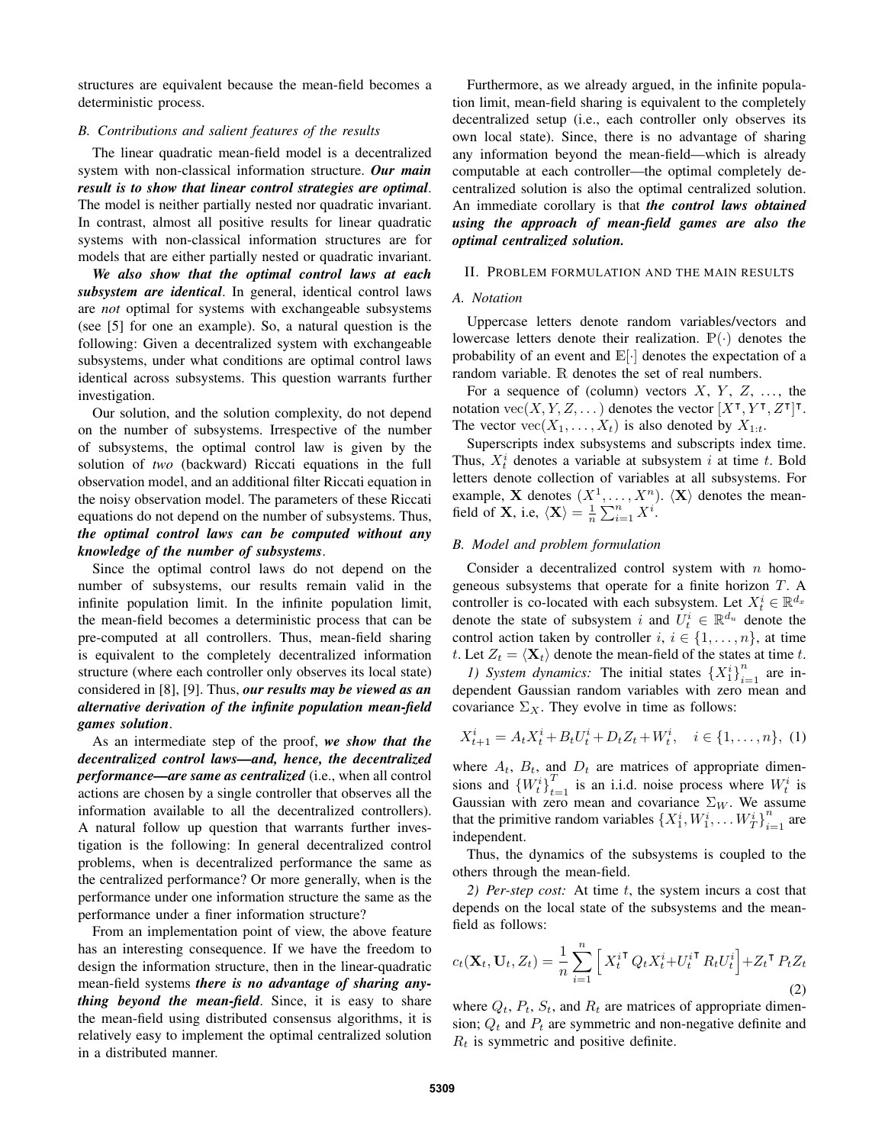structures are equivalent because the mean-field becomes a deterministic process.

## *B. Contributions and salient features of the results*

The linear quadratic mean-field model is a decentralized system with non-classical information structure. *Our main result is to show that linear control strategies are optimal*. The model is neither partially nested nor quadratic invariant. In contrast, almost all positive results for linear quadratic systems with non-classical information structures are for models that are either partially nested or quadratic invariant.

*We also show that the optimal control laws at each subsystem are identical*. In general, identical control laws are *not* optimal for systems with exchangeable subsystems (see [5] for one an example). So, a natural question is the following: Given a decentralized system with exchangeable subsystems, under what conditions are optimal control laws identical across subsystems. This question warrants further investigation.

Our solution, and the solution complexity, do not depend on the number of subsystems. Irrespective of the number of subsystems, the optimal control law is given by the solution of *two* (backward) Riccati equations in the full observation model, and an additional filter Riccati equation in the noisy observation model. The parameters of these Riccati equations do not depend on the number of subsystems. Thus, *the optimal control laws can be computed without any knowledge of the number of subsystems*.

Since the optimal control laws do not depend on the number of subsystems, our results remain valid in the infinite population limit. In the infinite population limit, the mean-field becomes a deterministic process that can be pre-computed at all controllers. Thus, mean-field sharing is equivalent to the completely decentralized information structure (where each controller only observes its local state) considered in [8], [9]. Thus, *our results may be viewed as an alternative derivation of the infinite population mean-field games solution*.

As an intermediate step of the proof, *we show that the decentralized control laws—and, hence, the decentralized performance—are same as centralized* (i.e., when all control actions are chosen by a single controller that observes all the information available to all the decentralized controllers). A natural follow up question that warrants further investigation is the following: In general decentralized control problems, when is decentralized performance the same as the centralized performance? Or more generally, when is the performance under one information structure the same as the performance under a finer information structure?

From an implementation point of view, the above feature has an interesting consequence. If we have the freedom to design the information structure, then in the linear-quadratic mean-field systems *there is no advantage of sharing anything beyond the mean-field*. Since, it is easy to share the mean-field using distributed consensus algorithms, it is relatively easy to implement the optimal centralized solution in a distributed manner.

Furthermore, as we already argued, in the infinite population limit, mean-field sharing is equivalent to the completely decentralized setup (i.e., each controller only observes its own local state). Since, there is no advantage of sharing any information beyond the mean-field—which is already computable at each controller—the optimal completely decentralized solution is also the optimal centralized solution. An immediate corollary is that *the control laws obtained using the approach of mean-field games are also the optimal centralized solution.*

#### II. PROBLEM FORMULATION AND THE MAIN RESULTS

## *A. Notation*

Uppercase letters denote random variables/vectors and lowercase letters denote their realization.  $\mathbb{P}(\cdot)$  denotes the probability of an event and E[·] denotes the expectation of a random variable. R denotes the set of real numbers.

For a sequence of (column) vectors  $X, Y, Z, \ldots$ , the notation  $\text{vec}(X, Y, Z, \dots)$  denotes the vector  $[X^{\intercal}, Y^{\intercal}, Z^{\intercal}]^{\intercal}$ . The vector  $\text{vec}(X_1, \ldots, X_t)$  is also denoted by  $X_{1:t}$ .

Superscripts index subsystems and subscripts index time. Thus,  $X_t^i$  denotes a variable at subsystem i at time t. Bold letters denote collection of variables at all subsystems. For example, **X** denotes  $(X^1, \ldots, X^n)$ .  $\langle \mathbf{X} \rangle$  denotes the meanfield of **X**, i.e,  $\langle \mathbf{X} \rangle = \frac{1}{n} \sum_{i=1}^{n} X^{i}$ .

#### *B. Model and problem formulation*

Consider a decentralized control system with  $n$  homogeneous subsystems that operate for a finite horizon T. A controller is co-located with each subsystem. Let  $X_t^i \in \mathbb{R}^{d_x}$ denote the state of subsystem i and  $U_t^i \in \mathbb{R}^{d_u}$  denote the control action taken by controller  $i, i \in \{1, \ldots, n\}$ , at time t. Let  $Z_t = \langle \mathbf{X}_t \rangle$  denote the mean-field of the states at time t.

*1) System dynamics:* The initial states  ${X_1^i}_{i=1}^n$  are independent Gaussian random variables with zero mean and covariance  $\Sigma_X$ . They evolve in time as follows:

$$
X_{t+1}^i = A_t X_t^i + B_t U_t^i + D_t Z_t + W_t^i, \quad i \in \{1, ..., n\},
$$
 (1)

where  $A_t$ ,  $B_t$ , and  $D_t$  are matrices of appropriate dimensions and  ${W_t^i}_{t=1}^T$  is an i.i.d. noise process where  $W_t^i$  is Gaussian with zero mean and covariance  $\Sigma_W$ . We assume that the primitive random variables  $\left\{X_1^i, W_1^i, \ldots W_T^i\right\}_{i=1}^n$  are independent.

Thus, the dynamics of the subsystems is coupled to the others through the mean-field.

2) Per-step cost: At time t, the system incurs a cost that depends on the local state of the subsystems and the meanfield as follows:

$$
c_t(\mathbf{X}_t, \mathbf{U}_t, Z_t) = \frac{1}{n} \sum_{i=1}^n \left[ X_t^{i\mathsf{T}} Q_t X_t^i + U_t^{i\mathsf{T}} R_t U_t^i \right] + Z_t^{\mathsf{T}} P_t Z_t
$$
\n(2)

where  $Q_t$ ,  $P_t$ ,  $S_t$ , and  $R_t$  are matrices of appropriate dimension;  $Q_t$  and  $P_t$  are symmetric and non-negative definite and  $R_t$  is symmetric and positive definite.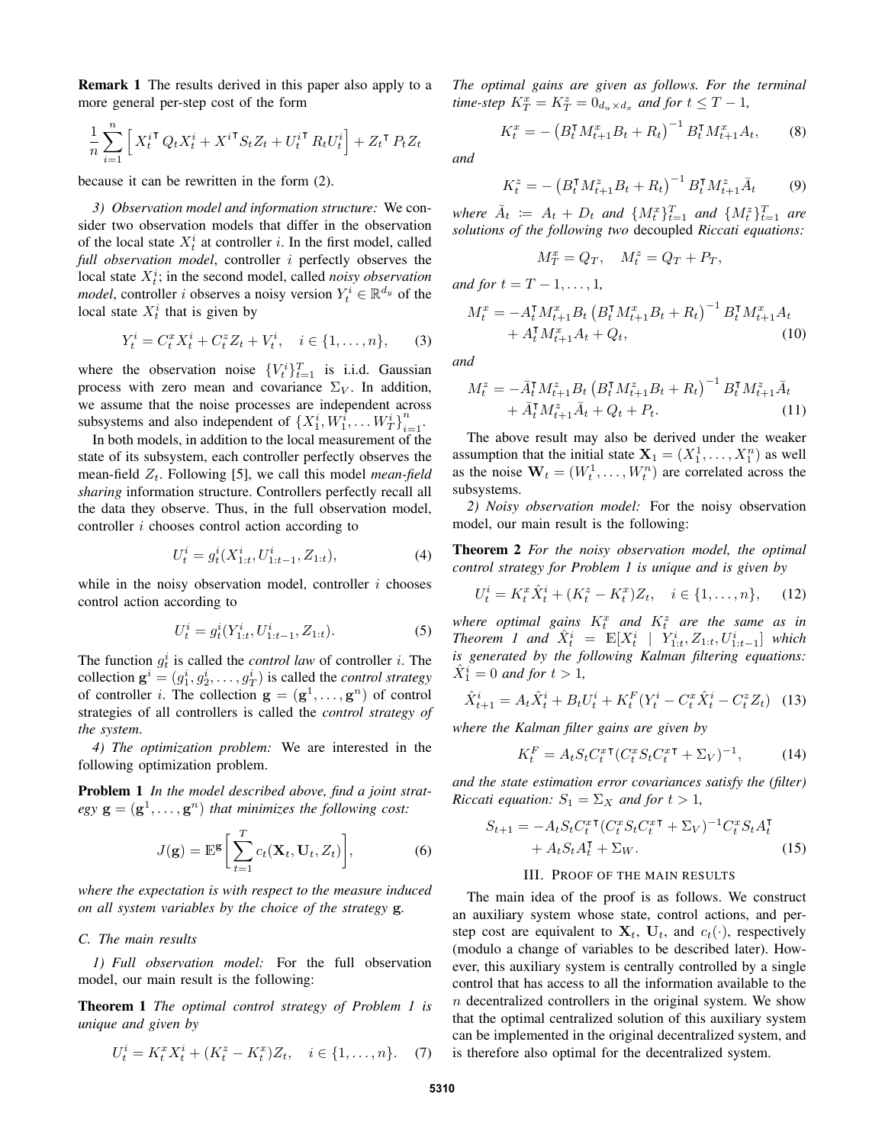Remark 1 The results derived in this paper also apply to a more general per-step cost of the form

$$
\frac{1}{n}\sum_{i=1}^n\left[\,X_t^{i\,\mathsf{T}}\,Q_tX_t^i+X^{i\,\mathsf{T}}S_tZ_t+U_t^{i\,\mathsf{T}}\,R_tU_t^i\right]+Z_t^{\mathsf{T}}\,P_tZ_t
$$

because it can be rewritten in the form (2).

*3) Observation model and information structure:* We consider two observation models that differ in the observation of the local state  $X_t^i$  at controller *i*. In the first model, called *full observation model*, controller i perfectly observes the local state  $X_t^i$ ; in the second model, called *noisy observation model*, controller *i* observes a noisy version  $Y_t^i \in \mathbb{R}^{d_y}$  of the local state  $X_t^i$  that is given by

$$
Y_t^i = C_t^x X_t^i + C_t^z Z_t + V_t^i, \quad i \in \{1, ..., n\},
$$
 (3)

where the observation noise  $\{V_t^i\}_{t=1}^T$  is i.i.d. Gaussian process with zero mean and covariance  $\Sigma_V$ . In addition, we assume that the noise processes are independent across subsystems and also independent of  $\{X_1^i, W_1^i, \ldots W_T^i\}_{i=1}^n$ .

In both models, in addition to the local measurement of the state of its subsystem, each controller perfectly observes the mean-field  $Z_t$ . Following [5], we call this model *mean-field sharing* information structure. Controllers perfectly recall all the data they observe. Thus, in the full observation model, controller i chooses control action according to

$$
U_t^i = g_t^i(X_{1:t}^i, U_{1:t-1}^i, Z_{1:t}),
$$
\n(4)

while in the noisy observation model, controller  $i$  chooses control action according to

$$
U_t^i = g_t^i(Y_{1:t}^i, U_{1:t-1}^i, Z_{1:t}).
$$
\n<sup>(5)</sup>

The function  $g_t^i$  is called the *control law* of controller *i*. The collection  $\mathbf{g}^i = (g_1^i, g_2^i, \dots, g_T^i)$  is called the *control strategy* of controller *i*. The collection  $\mathbf{g} = (\mathbf{g}^1, \dots, \mathbf{g}^n)$  of control strategies of all controllers is called the *control strategy of the system*.

*4) The optimization problem:* We are interested in the following optimization problem.

Problem 1 *In the model described above, find a joint strat* $egy \, \mathbf{g} = (\mathbf{g}^1, \dots, \mathbf{g}^n)$  *that minimizes the following cost:* 

$$
J(\mathbf{g}) = \mathbb{E}^{\mathbf{g}} \bigg[ \sum_{t=1}^{T} c_t(\mathbf{X}_t, \mathbf{U}_t, Z_t) \bigg],
$$
 (6)

*where the expectation is with respect to the measure induced on all system variables by the choice of the strategy* g*.*

## *C. The main results*

*1) Full observation model:* For the full observation model, our main result is the following:

Theorem 1 *The optimal control strategy of Problem 1 is unique and given by*

$$
U_t^i = K_t^x X_t^i + (K_t^z - K_t^x) Z_t, \quad i \in \{1, \dots, n\}.
$$
 (7)

*The optimal gains are given as follows. For the terminal*  $time\text{-step } K_T^x = K_T^z = 0_{d_u \times d_x}$  *and for*  $t \leq T - 1$ *,* 

$$
K_t^x = -\left(B_t^\mathsf{T} M_{t+1}^x B_t + R_t\right)^{-1} B_t^\mathsf{T} M_{t+1}^x A_t,\tag{8}
$$

*and*

$$
K_t^z = -\left(B_t^{\mathsf{T}} M_{t+1}^z B_t + R_t\right)^{-1} B_t^{\mathsf{T}} M_{t+1}^z \bar{A}_t \tag{9}
$$

where  $\bar{A}_t := A_t + D_t$  and  $\{M_t^x\}_{t=1}^T$  and  $\{M_t^z\}_{t=1}^T$  are *solutions of the following two* decoupled *Riccati equations:*

$$
M_T^x = Q_T, \quad M_t^z = Q_T + P_T,
$$

*and for*  $t = T - 1, ..., 1$ ,

$$
M_t^x = -A_t^\mathsf{T} M_{t+1}^x B_t \left( B_t^\mathsf{T} M_{t+1}^x B_t + R_t \right)^{-1} B_t^\mathsf{T} M_{t+1}^x A_t + A_t^\mathsf{T} M_{t+1}^x A_t + Q_t,
$$
\n(10)

*and*

$$
M_t^z = -\bar{A}_t^\mathsf{T} M_{t+1}^z B_t \left( B_t^\mathsf{T} M_{t+1}^z B_t + R_t \right)^{-1} B_t^\mathsf{T} M_{t+1}^z \bar{A}_t + \bar{A}_t^\mathsf{T} M_{t+1}^z \bar{A}_t + Q_t + P_t.
$$
 (11)

The above result may also be derived under the weaker assumption that the initial state  $X_1 = (X_1^1, \dots, X_1^n)$  as well as the noise  $\mathbf{W}_t = (W_t^1, \dots, W_t^n)$  are correlated across the subsystems.

*2) Noisy observation model:* For the noisy observation model, our main result is the following:

Theorem 2 *For the noisy observation model, the optimal control strategy for Problem 1 is unique and is given by*

$$
U_t^i = K_t^x \hat{X}_t^i + (K_t^z - K_t^x) Z_t, \quad i \in \{1, ..., n\}, \tag{12}
$$

where optimal gains  $K_t^x$  and  $K_t^z$  are the same as in *Theorem 1 and*  $\hat{X}_t^i = \mathbb{E}[X_t^i | Y_{1:t}^i, Z_{1:t}, U_{1:t-1}^i]$  which *is generated by the following Kalman filtering equations:*  $\hat{X}_1^i = 0$  *and for*  $t > 1$ ,

$$
\hat{X}_{t+1}^i = A_t \hat{X}_t^i + B_t U_t^i + K_t^F (Y_t^i - C_t^x \hat{X}_t^i - C_t^z Z_t) \tag{13}
$$

*where the Kalman filter gains are given by*

$$
K_t^F = A_t S_t C_t^{x\mathsf{T}} (C_t^x S_t C_t^{x\mathsf{T}} + \Sigma_V)^{-1}, \tag{14}
$$

*and the state estimation error covariances satisfy the (filter) Riccati equation:*  $S_1 = \Sigma_X$  *and for*  $t > 1$ *,* 

$$
S_{t+1} = -A_t S_t C_t^{x\tau} (C_t^x S_t C_t^{x\tau} + \Sigma_V)^{-1} C_t^x S_t A_t^{\tau}
$$
  
+  $A_t S_t A_t^{\tau} + \Sigma_W.$  (15)

### III. PROOF OF THE MAIN RESULTS

The main idea of the proof is as follows. We construct an auxiliary system whose state, control actions, and perstep cost are equivalent to  $X_t$ ,  $U_t$ , and  $c_t(\cdot)$ , respectively (modulo a change of variables to be described later). However, this auxiliary system is centrally controlled by a single control that has access to all the information available to the  $n$  decentralized controllers in the original system. We show that the optimal centralized solution of this auxiliary system can be implemented in the original decentralized system, and is therefore also optimal for the decentralized system.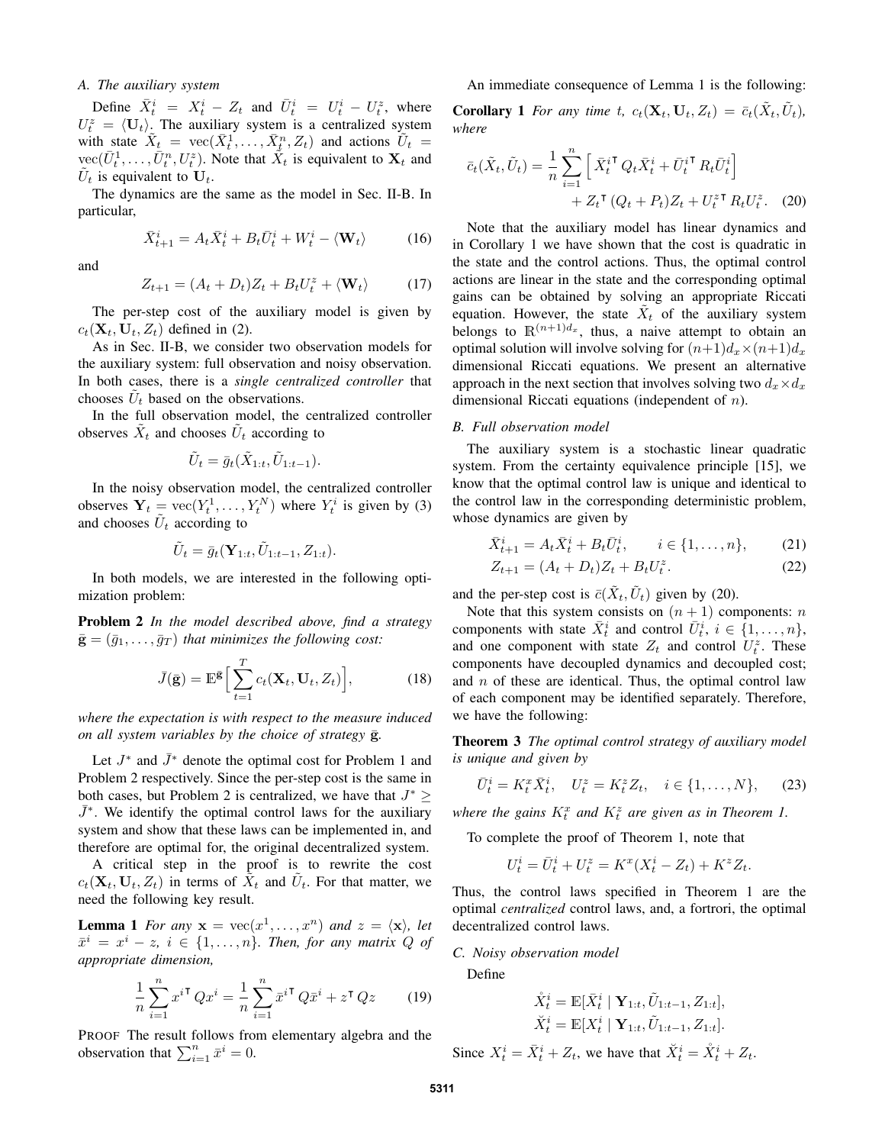#### *A. The auxiliary system*

Define  $\bar{X}_t^i = X_t^i - Z_t$  and  $\bar{U}_t^i = U_t^i - U_t^z$ , where  $U_t^z = \langle \mathbf{U}_t \rangle$ . The auxiliary system is a centralized system with state  $\tilde{X}_t = \text{vec}(\bar{X}_t^1, \dots, \bar{X}_t^n, Z_t)$  and actions  $\tilde{U}_t =$  $\text{vec}(\bar{U}_t^1, \dots, \bar{U}_t^n, U_t^z)$ . Note that  $\tilde{X}_t$  is equivalent to  $\mathbf{X}_t$  and  $\tilde{U}_t$  is equivalent to  $\mathbf{U}_t$ .

The dynamics are the same as the model in Sec. II-B. In particular,

$$
\bar{X}_{t+1}^i = A_t \bar{X}_t^i + B_t \bar{U}_t^i + W_t^i - \langle \mathbf{W}_t \rangle \tag{16}
$$

and

$$
Z_{t+1} = (A_t + D_t)Z_t + B_t U_t^z + \langle \mathbf{W}_t \rangle \tag{17}
$$

The per-step cost of the auxiliary model is given by  $c_t(\mathbf{X}_t, \mathbf{U}_t, Z_t)$  defined in (2).

As in Sec. II-B, we consider two observation models for the auxiliary system: full observation and noisy observation. In both cases, there is a *single centralized controller* that chooses  $\tilde{U}_t$  based on the observations.

In the full observation model, the centralized controller observes  $\tilde{X}_t$  and chooses  $\tilde{U}_t$  according to

$$
\tilde{U}_t = \bar{g}_t(\tilde{X}_{1:t}, \tilde{U}_{1:t-1}).
$$

In the noisy observation model, the centralized controller observes  $Y_t = \text{vec}(Y_t^1, \dots, Y_t^N)$  where  $Y_t^i$  is given by (3) and chooses  $\tilde{U}_t$  according to

$$
\tilde{U}_t = \bar{g}_t(\mathbf{Y}_{1:t}, \tilde{U}_{1:t-1}, Z_{1:t}).
$$

In both models, we are interested in the following optimization problem:

Problem 2 *In the model described above, find a strategy*  $\bar{\mathbf{g}} = (\bar{g}_1, \dots, \bar{g}_T)$  *that minimizes the following cost:* 

$$
\bar{J}(\bar{\mathbf{g}}) = \mathbb{E}^{\bar{\mathbf{g}}}\Big[\sum_{t=1}^{T} c_t(\mathbf{X}_t, \mathbf{U}_t, Z_t)\Big],\tag{18}
$$

*where the expectation is with respect to the measure induced on all system variables by the choice of strategy*  $\bar{g}$ *.* 

Let  $J^*$  and  $\bar{J}^*$  denote the optimal cost for Problem 1 and Problem 2 respectively. Since the per-step cost is the same in both cases, but Problem 2 is centralized, we have that  $J^* \geq$  $\bar{J}^*$ . We identify the optimal control laws for the auxiliary system and show that these laws can be implemented in, and therefore are optimal for, the original decentralized system.

A critical step in the proof is to rewrite the cost  $c_t(\mathbf{X}_t, \mathbf{U}_t, Z_t)$  in terms of  $\tilde{X}_t$  and  $\tilde{U}_t$ . For that matter, we need the following key result.

**Lemma 1** For any  $\mathbf{x} = \text{vec}(x^1, \dots, x^n)$  and  $z = \langle \mathbf{x} \rangle$ , let  $\bar{x}^i = x^i - z$ ,  $i \in \{1, \ldots, n\}$ . Then, for any matrix Q of *appropriate dimension,*

$$
\frac{1}{n}\sum_{i=1}^{n}x^{i\mathsf{T}}Qx^{i} = \frac{1}{n}\sum_{i=1}^{n}\bar{x}^{i\mathsf{T}}Q\bar{x}^{i} + z^{\mathsf{T}}Qz \qquad (19)
$$

PROOF The result follows from elementary algebra and the observation that  $\sum_{i=1}^{n} \bar{x}^i = 0$ .

An immediate consequence of Lemma 1 is the following:

**Corollary 1** For any time t,  $c_t(\mathbf{X}_t, \mathbf{U}_t, Z_t) = \bar{c}_t(\tilde{X}_t, \tilde{U}_t)$ , *where*

$$
\bar{c}_t(\tilde{X}_t, \tilde{U}_t) = \frac{1}{n} \sum_{i=1}^n \left[ \bar{X}_t^{i\mathsf{T}} Q_t \bar{X}_t^i + \bar{U}_t^{i\mathsf{T}} R_t \bar{U}_t^i \right] + Z_t^{\mathsf{T}} (Q_t + P_t) Z_t + U_t^{z\mathsf{T}} R_t U_t^z.
$$
 (20)

Note that the auxiliary model has linear dynamics and in Corollary 1 we have shown that the cost is quadratic in the state and the control actions. Thus, the optimal control actions are linear in the state and the corresponding optimal gains can be obtained by solving an appropriate Riccati equation. However, the state  $\tilde{X}_t$  of the auxiliary system belongs to  $\mathbb{R}^{(n+1)d_x}$ , thus, a naive attempt to obtain an optimal solution will involve solving for  $(n+1)d_x \times (n+1)d_x$ dimensional Riccati equations. We present an alternative approach in the next section that involves solving two  $d_x \times d_x$ dimensional Riccati equations (independent of n).

### *B. Full observation model*

The auxiliary system is a stochastic linear quadratic system. From the certainty equivalence principle [15], we know that the optimal control law is unique and identical to the control law in the corresponding deterministic problem, whose dynamics are given by

$$
\bar{X}_{t+1}^i = A_t \bar{X}_t^i + B_t \bar{U}_t^i, \qquad i \in \{1, \dots, n\}, \tag{21}
$$

$$
Z_{t+1} = (A_t + D_t)Z_t + B_t U_t^z.
$$
 (22)

and the per-step cost is  $\bar{c}(\tilde{X}_t, \tilde{U}_t)$  given by (20).

Note that this system consists on  $(n + 1)$  components: *n* components with state  $\bar{X}_t^i$  and control  $\bar{U}_t^i$ ,  $i \in \{1, ..., n\}$ , and one component with state  $Z_t$  and control  $U_t^z$ . These components have decoupled dynamics and decoupled cost; and  $n$  of these are identical. Thus, the optimal control law of each component may be identified separately. Therefore, we have the following:

Theorem 3 *The optimal control strategy of auxiliary model is unique and given by*

$$
\bar{U}_t^i = K_t^x \bar{X}_t^i, \quad U_t^z = K_t^z Z_t, \quad i \in \{1, \dots, N\}, \tag{23}
$$

where the gains  $K_t^x$  and  $K_t^z$  are given as in Theorem 1.

To complete the proof of Theorem 1, note that

 $U_t^i = \bar{U}_t^i + U_t^z = K^x(X_t^i - Z_t) + K^z Z_t.$ 

Thus, the control laws specified in Theorem 1 are the optimal *centralized* control laws, and, a fortrori, the optimal decentralized control laws.

*C. Noisy observation model*

Define

$$
\hat{X}_t^i = \mathbb{E}[\bar{X}_t^i | \mathbf{Y}_{1:t}, \tilde{U}_{1:t-1}, Z_{1:t}], \n\check{X}_t^i = \mathbb{E}[X_t^i | \mathbf{Y}_{1:t}, \tilde{U}_{1:t-1}, Z_{1:t}].
$$

Since  $X_t^i = \overline{X}_t^i + Z_t$ , we have that  $\overline{X}_t^i = \mathring{X}_t^i + Z_t$ .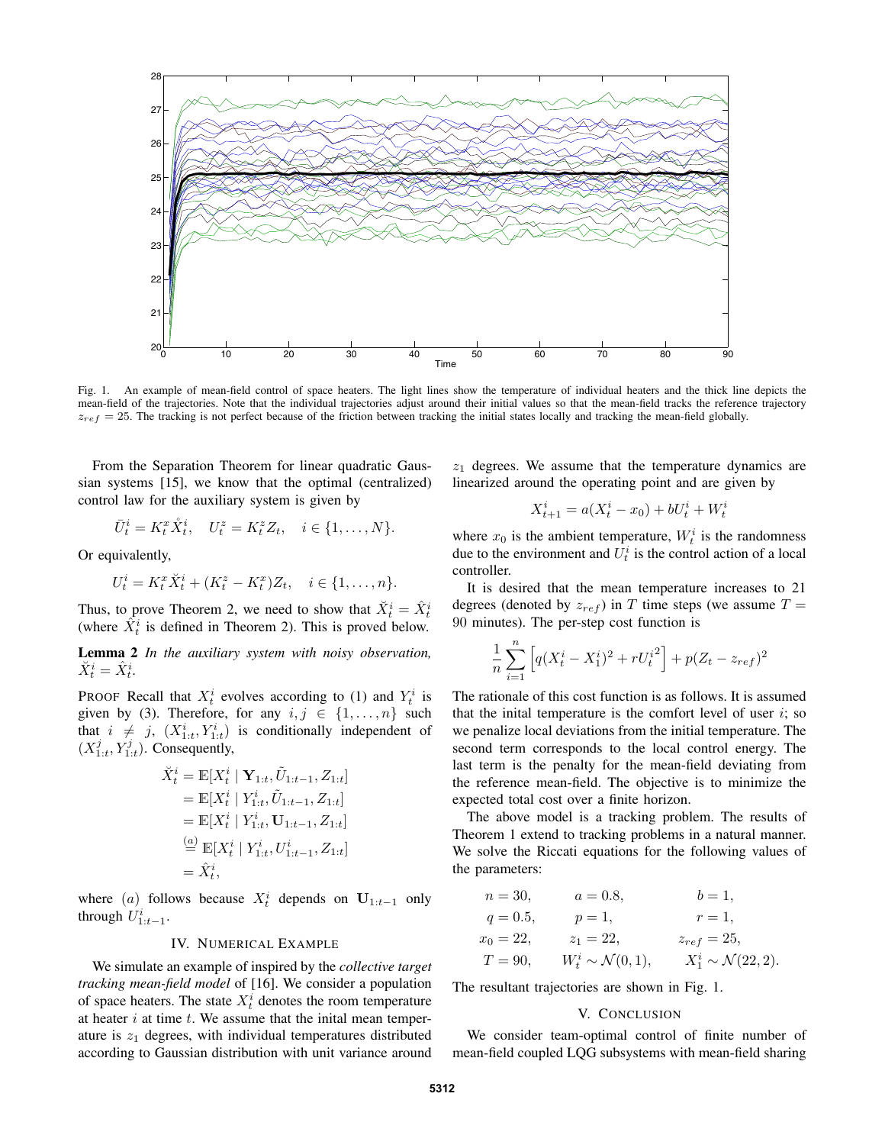

Fig. 1. An example of mean-field control of space heaters. The light lines show the temperature of individual heaters and the thick line depicts the mean-field of the trajectories. Note that the individual trajectories adjust around their initial values so that the mean-field tracks the reference trajectory  $z_{ref} = 25$ . The tracking is not perfect because of the friction between tracking the initial states locally and tracking the mean-field globally.

From the Separation Theorem for linear quadratic Gaussian systems [15], we know that the optimal (centralized) control law for the auxiliary system is given by

$$
\bar{U}_t^i = K_t^x \mathring{X}_t^i, \quad U_t^z = K_t^z Z_t, \quad i \in \{1, \dots, N\}.
$$

Or equivalently,

$$
U_t^i = K_t^x \check{X}_t^i + (K_t^z - K_t^x) Z_t, \quad i \in \{1, ..., n\}.
$$

Thus, to prove Theorem 2, we need to show that  $\check{X}_t^i = \hat{X}_t^i$ (where  $\hat{X}_t^i$  is defined in Theorem 2). This is proved below.

Lemma 2 *In the auxiliary system with noisy observation,*  $\breve{X}_t^i = \hat{X}_t^i.$ 

PROOF Recall that  $X_t^i$  evolves according to (1) and  $Y_t^i$  is given by (3). Therefore, for any  $i, j \in \{1, ..., n\}$  such that  $i \neq j$ ,  $(X_{1:t}^i, Y_{1:t}^i)$  is conditionally independent of  $(X_{1:t}^j, Y_{1:t}^j)$ . Consequently,

$$
\check{X}_t^i = \mathbb{E}[X_t^i | \mathbf{Y}_{1:t}, \tilde{U}_{1:t-1}, Z_{1:t}] \n= \mathbb{E}[X_t^i | Y_{1:t}^i, \tilde{U}_{1:t-1}, Z_{1:t}] \n= \mathbb{E}[X_t^i | Y_{1:t}^i, \mathbf{U}_{1:t-1}, Z_{1:t}] \n= \mathbb{E}[X_t^i | Y_{1:t}^i, U_{1:t-1}^i, Z_{1:t}] \n= \hat{X}_t^i,
$$

where (a) follows because  $X_t^i$  depends on  $\mathbf{U}_{1:t-1}$  only through  $U_{1:t-1}^i$ .

### IV. NUMERICAL EXAMPLE

We simulate an example of inspired by the *collective target tracking mean-field model* of [16]. We consider a population of space heaters. The state  $X_t^i$  denotes the room temperature at heater  $i$  at time  $t$ . We assume that the initial mean temperature is  $z_1$  degrees, with individual temperatures distributed according to Gaussian distribution with unit variance around

 $z_1$  degrees. We assume that the temperature dynamics are linearized around the operating point and are given by

$$
X_{t+1}^i = a(X_t^i - x_0) + bU_t^i + W_t^i
$$

where  $x_0$  is the ambient temperature,  $W_t^i$  is the randomness due to the environment and  $U_t^i$  is the control action of a local controller.

It is desired that the mean temperature increases to 21 degrees (denoted by  $z_{ref}$ ) in T time steps (we assume  $T =$ 90 minutes). The per-step cost function is

$$
\frac{1}{n}\sum_{i=1}^n \left[ q(X^i_t-X^i_1)^2 + r{U^i_t}^2 \right] + p(Z_t-z_{ref})^2
$$

The rationale of this cost function is as follows. It is assumed that the inital temperature is the comfort level of user  $i$ ; so we penalize local deviations from the initial temperature. The second term corresponds to the local control energy. The last term is the penalty for the mean-field deviating from the reference mean-field. The objective is to minimize the expected total cost over a finite horizon.

The above model is a tracking problem. The results of Theorem 1 extend to tracking problems in a natural manner. We solve the Riccati equations for the following values of the parameters:

$$
n = 30,
$$
  $a = 0.8,$   $b = 1,$   
\n $q = 0.5,$   $p = 1,$   $r = 1,$   
\n $x_0 = 22,$   $z_1 = 22,$   $z_{ref} = 25,$   
\n $T = 90,$   $W_t^i \sim \mathcal{N}(0, 1),$   $X_1^i \sim \mathcal{N}(22, 2).$ 

The resultant trajectories are shown in Fig. 1.

## V. CONCLUSION

We consider team-optimal control of finite number of mean-field coupled LQG subsystems with mean-field sharing